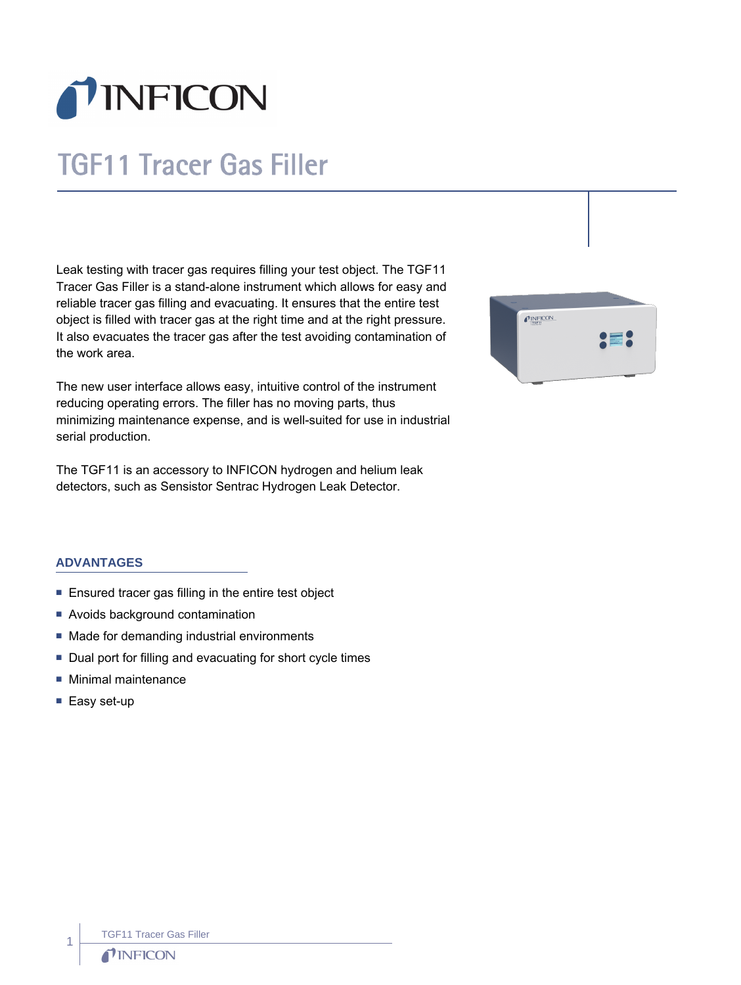

# TGF11 Tracer Gas Filler

Leak testing with tracer gas requires filling your test object. The TGF11 Tracer Gas Filler is a stand-alone instrument which allows for easy and reliable tracer gas filling and evacuating. It ensures that the entire test object is filled with tracer gas at the right time and at the right pressure. It also evacuates the tracer gas after the test avoiding contamination of the work area.

The new user interface allows easy, intuitive control of the instrument reducing operating errors. The filler has no moving parts, thus minimizing maintenance expense, and is well-suited for use in industrial serial production.

The TGF11 is an accessory to INFICON hydrogen and helium leak detectors, such as Sensistor Sentrac Hydrogen Leak Detector.



### **ADVANTAGES**

- Ensured tracer gas filling in the entire test object
- **Avoids background contamination**
- Made for demanding industrial environments
- Dual port for filling and evacuating for short cycle times
- $\blacksquare$  Minimal maintenance
- $\blacksquare$  Easy set-up

TGF11 Tracer Gas Filler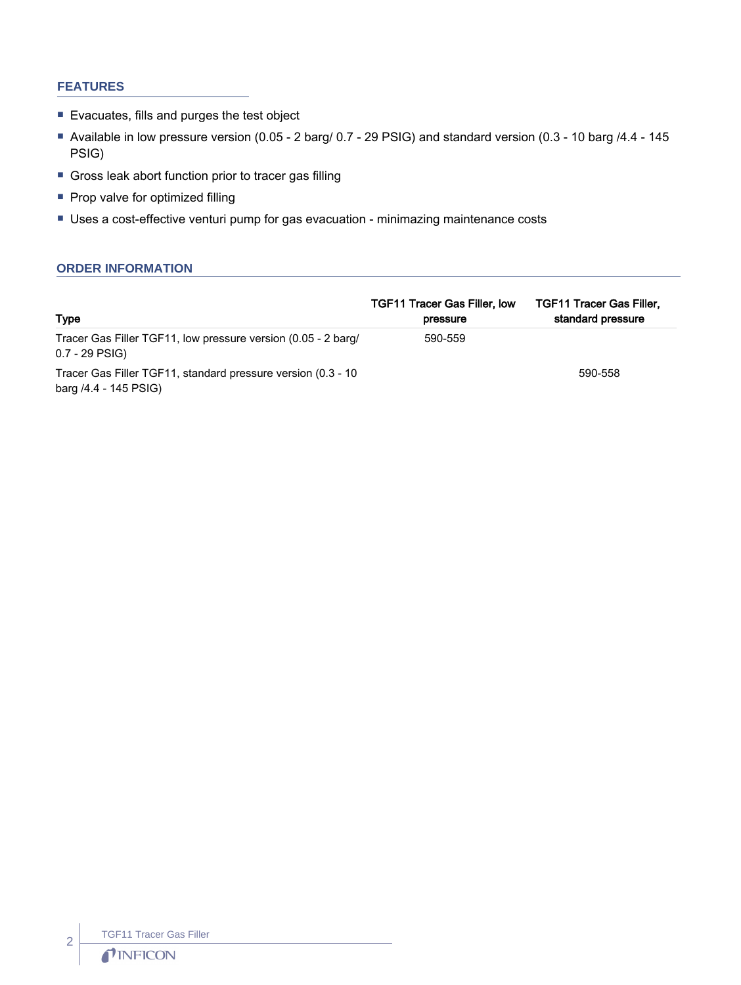## **FEATURES**

- Evacuates, fills and purges the test object
- n Available in low pressure version (0.05 2 barg/ 0.7 29 PSIG) and standard version (0.3 10 barg /4.4 145 PSIG)
- Gross leak abort function prior to tracer gas filling
- Prop valve for optimized filling
- Uses a cost-effective venturi pump for gas evacuation minimazing maintenance costs

### **ORDER INFORMATION**

| <b>Type</b>                                                                             | <b>TGF11 Tracer Gas Filler, low</b><br>pressure | <b>TGF11 Tracer Gas Filler,</b><br>standard pressure |
|-----------------------------------------------------------------------------------------|-------------------------------------------------|------------------------------------------------------|
| Tracer Gas Filler TGF11, low pressure version (0.05 - 2 barg/<br>$0.7 - 29$ PSIG)       | 590-559                                         |                                                      |
| Tracer Gas Filler TGF11, standard pressure version (0.3 - 10<br>barg $/4.4 - 145$ PSIG) |                                                 | 590-558                                              |

TGF11 Tracer Gas Filler